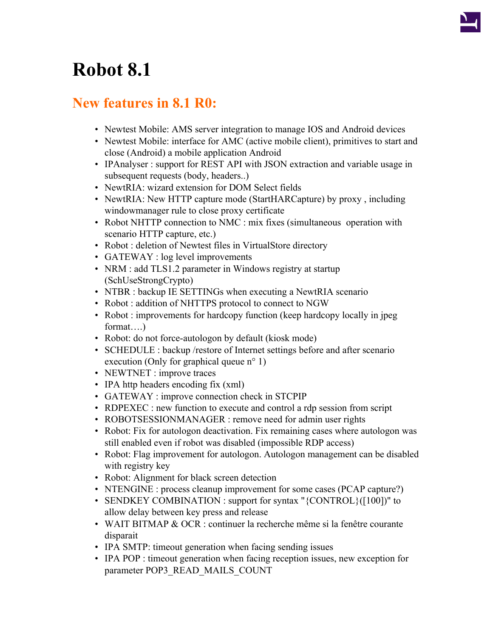## **Robot 8.1**

## **New features in 8.1 R0:**

- Newtest Mobile: AMS server integration to manage IOS and Android devices
- Newtest Mobile: interface for AMC (active mobile client), primitives to start and close (Android) a mobile application Android
- IPAnalyser : support for REST API with JSON extraction and variable usage in subsequent requests (body, headers..)
- NewtRIA: wizard extension for DOM Select fields
- NewtRIA: New HTTP capture mode (StartHARCapture) by proxy, including windowmanager rule to close proxy certificate
- Robot NHTTP connection to NMC : mix fixes (simultaneous operation with scenario HTTP capture, etc.)
- Robot : deletion of Newtest files in VirtualStore directory
- GATEWAY : log level improvements
- NRM : add TLS1.2 parameter in Windows registry at startup (SchUseStrongCrypto)
- NTBR : backup IE SETTINGs when executing a NewtRIA scenario
- Robot : addition of NHTTPS protocol to connect to NGW
- Robot : improvements for hardcopy function (keep hardcopy locally in jpeg format….)
- Robot: do not force-autologon by default (kiosk mode)
- SCHEDULE : backup /restore of Internet settings before and after scenario execution (Only for graphical queue n<sup>o</sup> 1)
- NEWTNET : improve traces
- IPA http headers encoding fix (xml)
- GATEWAY : improve connection check in STCPIP
- RDPEXEC : new function to execute and control a rdp session from script
- ROBOTSESSIONMANAGER : remove need for admin user rights
- Robot: Fix for autologon deactivation. Fix remaining cases where autologon was still enabled even if robot was disabled (impossible RDP access)
- Robot: Flag improvement for autologon. Autologon management can be disabled with registry key
- Robot: Alignment for black screen detection
- NTENGINE : process cleanup improvement for some cases (PCAP capture?)
- SENDKEY COMBINATION : support for syntax "{CONTROL}([100])" to allow delay between key press and release
- WAIT BITMAP & OCR : continuer la recherche même si la fenêtre courante disparait
- IPA SMTP: timeout generation when facing sending issues
- IPA POP : timeout generation when facing reception issues, new exception for parameter POP3\_READ\_MAILS\_COUNT